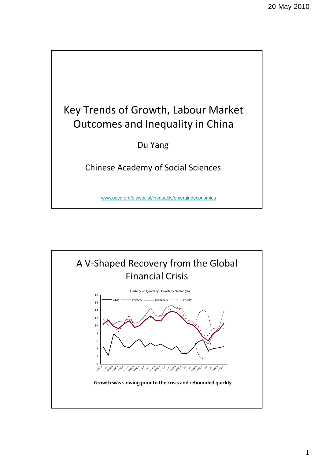

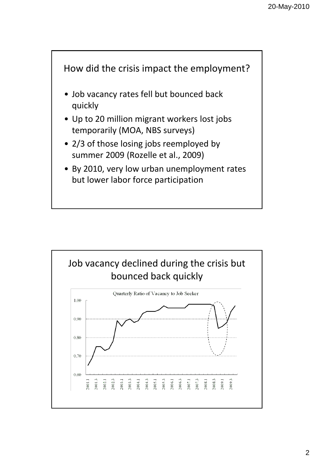

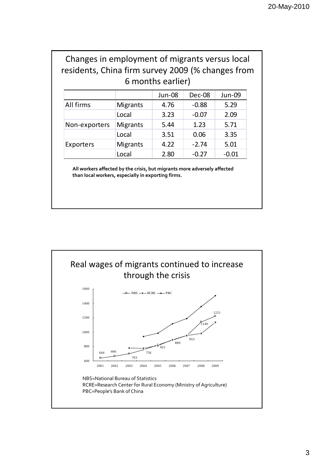## Changes in employment of migrants versus local residents, China firm survey 2009 (% changes from 6 months earlier)

|               |                 | Jun-08 | <b>Dec-08</b> | Jun-09  |
|---------------|-----------------|--------|---------------|---------|
| All firms     | <b>Migrants</b> | 4.76   | $-0.88$       | 5.29    |
|               | Local           | 3.23   | $-0.07$       | 2.09    |
| Non-exporters | <b>Migrants</b> | 5.44   | 1.23          | 5.71    |
|               | Local           | 3.51   | 0.06          | 3.35    |
| Exporters     | <b>Migrants</b> | 4.22   | $-2.74$       | 5.01    |
|               | Local           | 2.80   | $-0.27$       | $-0.01$ |

**All workers affected by the crisis, but migrants more adversely affected than local workers, especially in exporting firms.**